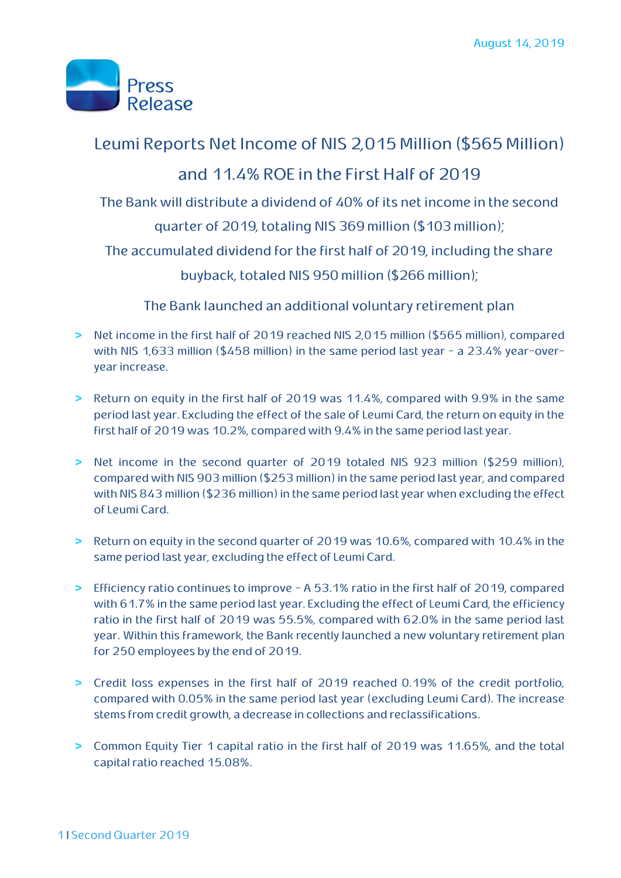

### Leumi Reports Net Income of NIS 2,015 Million (\$565 Million)

## and 11.4% ROE in the First Half of 2019

The Bank will distribute a dividend of 40% of its net income in the second

quarter of 2019, totaling NIS 369 million (\$103 million);

The accumulated dividend for the first half of 2019, including the share

buyback, totaled NIS 950 million (\$266 million);

The Bank launched an additional voluntary retirement plan

- **>** Net income in the first half of 2019 reached NIS 2,015 million (\$565 million), compared with NIS 1,633 million (\$458 million) in the same period last year - a 23.4% year-overyear increase.
- **>** Return on equity in the first half of 2019 was 11.4%, compared with 9.9% in the same period last year. Excluding the effect of the sale of Leumi Card, the return on equity in the first half of 2019 was 10.2%, compared with 9.4% in the same period last year.
- **>** Net income in the second quarter of 2019 totaled NIS 923 million (\$259 million), compared with NIS 903 million (\$253 million) in the same period last year, and compared with NIS 843 million (\$236 million) in the same period last year when excluding the effect of Leumi Card.
- **>** Return on equity in the second quarter of 2019 was 10.6%, compared with 10.4% in the same period last year, excluding the effect of Leumi Card.
- **>** Efficiency ratio continues to improve A 53.1% ratio in the first half of 2019, compared with 61.7% in the same period last year. Excluding the effect of Leumi Card, the efficiency ratio in the first half of 2019 was 55.5%, compared with 62.0% in the same period last year. Within this framework, the Bank recently launched a new voluntary retirement plan for 250 employees by the end of 2019.
- **>** Credit loss expenses in the first half of 2019 reached 0.19% of the credit portfolio, compared with 0.05% in the same period last year (excluding Leumi Card). The increase stems from credit growth, a decrease in collections and reclassifications.
- **>** Common Equity Tier 1 capital ratio in the first half of 2019 was 11.65%, and the total capital ratio reached 15.08%.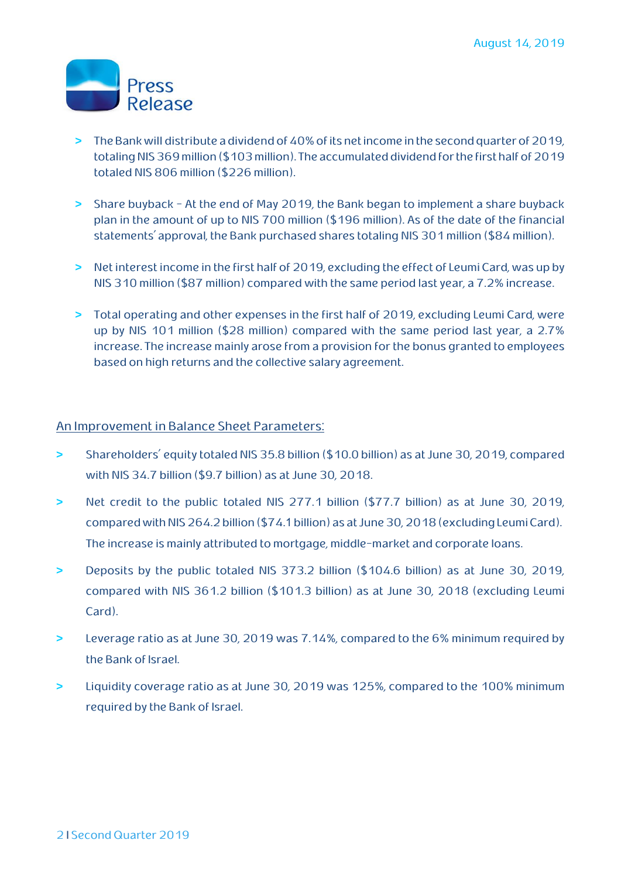

- **>** The Bank will distribute a dividend of 40% of its net income in the second quarter of 2019, totaling NIS 369 million (\$103 million). The accumulated dividend for the first half of 2019 totaled NIS 806 million (\$226 million).
- **>** Share buyback At the end of May 2019, the Bank began to implement a share buyback plan in the amount of up to NIS 700 million (\$196 million). As of the date of the financial statements' approval, the Bank purchased shares totaling NIS 301 million (\$84 million).
- **>** Net interest income in the first half of 2019, excluding the effect of Leumi Card, was up by NIS 310 million (\$87 million) compared with the same period last year, a 7.2% increase.
- **>** Total operating and other expenses in the first half of 2019, excluding Leumi Card, were up by NIS 101 million (\$28 million) compared with the same period last year, a 2.7% increase. The increase mainly arose from a provision for the bonus granted to employees based on high returns and the collective salary agreement.

#### An Improvement in Balance Sheet Parameters:

- **>** Shareholders' equity totaled NIS 35.8 billion (\$10.0 billion) as at June 30, 2019, compared with NIS 34.7 billion (\$9.7 billion) as at June 30, 2018.
- **>** Net credit to the public totaled NIS 277.1 billion (\$77.7 billion) as at June 30, 2019, compared with NIS 264.2 billion (\$74.1 billion) as at June 30,2018 (excluding Leumi Card). The increase is mainly attributed to mortgage, middle-market and corporate loans.
- **>** Deposits by the public totaled NIS 373.2 billion (\$104.6 billion) as at June 30, 2019, compared with NIS 361.2 billion (\$101.3 billion) as at June 30, 2018 (excluding Leumi Card).
- **>** Leverage ratio as at June 30, 2019 was 7.14%, compared to the 6% minimum required by the Bank of Israel.
- **>** Liquidity coverage ratio as at June 30, 2019 was 125%, compared to the 100% minimum required by the Bank of Israel.